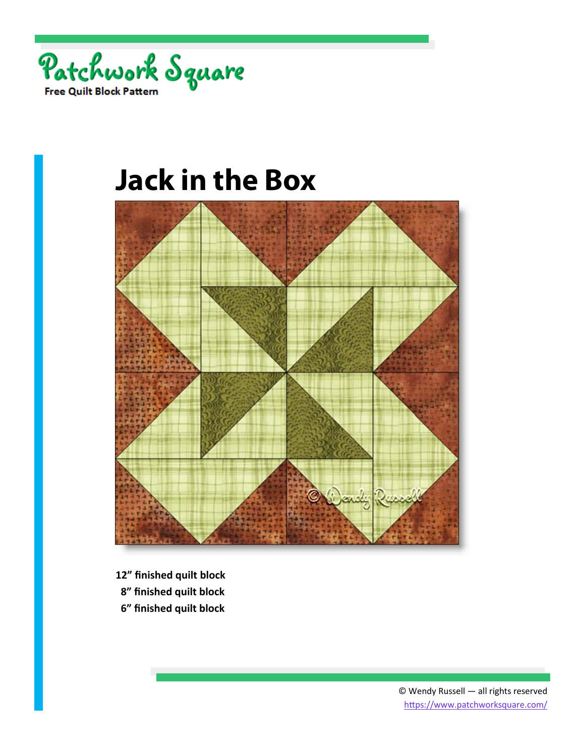



- **12" finished quilt block**
- **8" finished quilt block**
- **6" finished quilt block**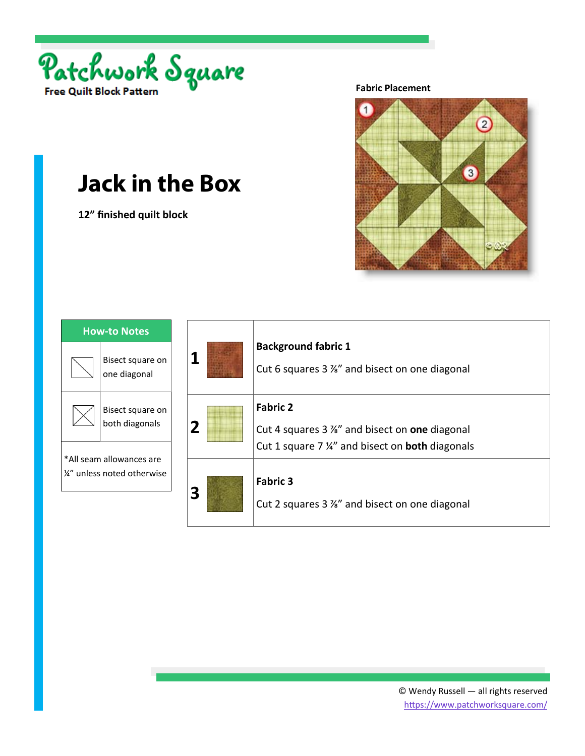

**12" finished quilt block** 

**Fabric Placement** 



| <b>How-to Notes</b>                                     |                                    |
|---------------------------------------------------------|------------------------------------|
|                                                         | Bisect square on<br>one diagonal   |
|                                                         | Bisect square on<br>both diagonals |
| *All seam allowances are<br>1/4" unless noted otherwise |                                    |

| 1              | <b>Background fabric 1</b><br>Cut 6 squares 3 %" and bisect on one diagonal                                               |
|----------------|---------------------------------------------------------------------------------------------------------------------------|
| $\overline{2}$ | <b>Fabric 2</b><br>Cut 4 squares 3 %" and bisect on one diagonal<br>Cut 1 square 7 %" and bisect on <b>both</b> diagonals |
| 3              | <b>Fabric 3</b><br>Cut 2 squares 3 %" and bisect on one diagonal                                                          |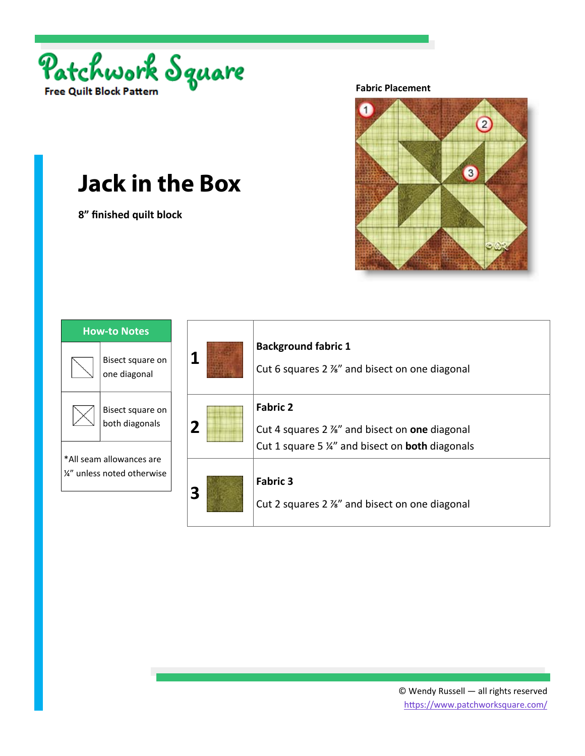

**8" finished quilt block** 

**Fabric Placement** 



| <b>How-to Notes</b>                                     |                                    |
|---------------------------------------------------------|------------------------------------|
|                                                         | Bisect square on<br>one diagonal   |
|                                                         | Bisect square on<br>both diagonals |
| *All seam allowances are<br>1/4" unless noted otherwise |                                    |

| 1                       | <b>Background fabric 1</b><br>Cut 6 squares 2 %" and bisect on one diagonal                                               |
|-------------------------|---------------------------------------------------------------------------------------------------------------------------|
| $\overline{2}$          | <b>Fabric 2</b><br>Cut 4 squares 2 %" and bisect on one diagonal<br>Cut 1 square 5 %" and bisect on <b>both</b> diagonals |
| $\overline{\mathbf{3}}$ | <b>Fabric 3</b><br>Cut 2 squares 2 %" and bisect on one diagonal                                                          |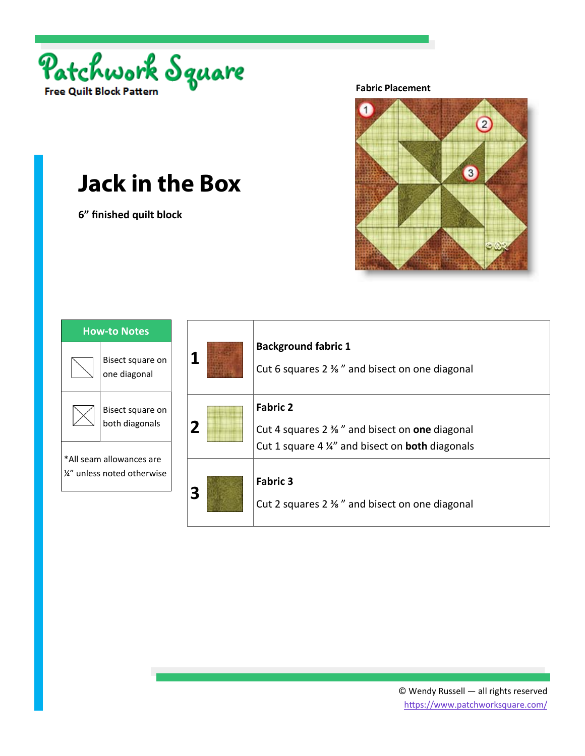

**6" finished quilt block** 

**Fabric Placement** 



| <b>How-to Notes</b>                                     |                                    |
|---------------------------------------------------------|------------------------------------|
|                                                         | Bisect square on<br>one diagonal   |
|                                                         | Bisect square on<br>both diagonals |
| *All seam allowances are<br>1/4" unless noted otherwise |                                    |

| 1           | <b>Background fabric 1</b><br>Cut 6 squares 2 % " and bisect on one diagonal                                                            |
|-------------|-----------------------------------------------------------------------------------------------------------------------------------------|
| $\mathbf 2$ | <b>Fabric 2</b><br>Cut 4 squares $2\frac{3}{8}$ " and bisect on one diagonal<br>Cut 1 square 4 1/4" and bisect on <b>both</b> diagonals |
| 3           | <b>Fabric 3</b><br>Cut 2 squares 2 % " and bisect on one diagonal                                                                       |